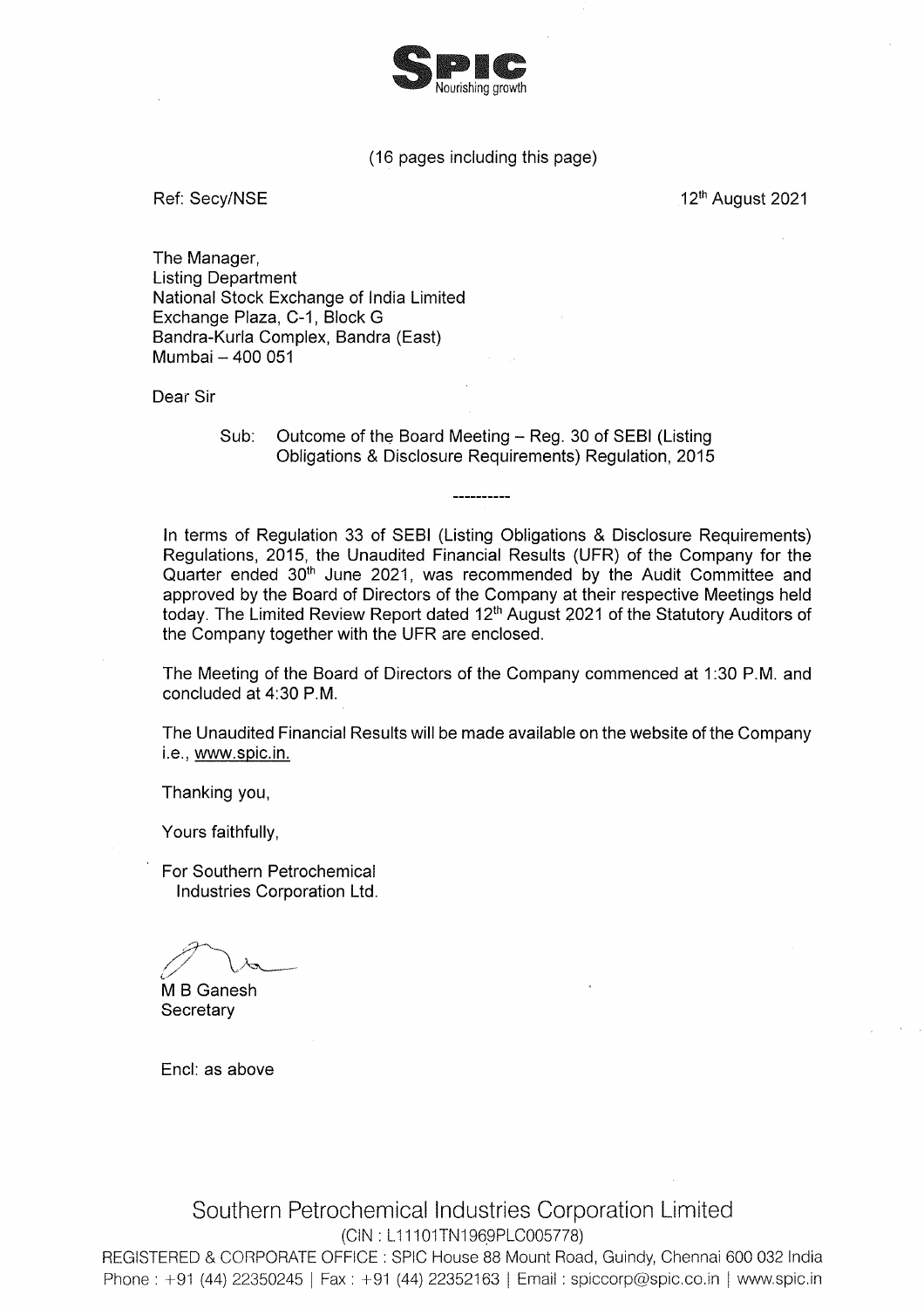

# (16 pages including this page)

Ref: Secv/NSE

12th August 2021

The Manager, **Listing Department** National Stock Exchange of India Limited Exchange Plaza, C-1, Block G Bandra-Kurla Complex, Bandra (East) Mumbai - 400 051

Dear Sir

Outcome of the Board Meeting - Reg. 30 of SEBI (Listing  $Sub:$ Obligations & Disclosure Requirements) Regulation, 2015

In terms of Regulation 33 of SEBI (Listing Obligations & Disclosure Requirements) Regulations, 2015, the Unaudited Financial Results (UFR) of the Company for the Quarter ended 30<sup>th</sup> June 2021, was recommended by the Audit Committee and approved by the Board of Directors of the Company at their respective Meetings held today. The Limited Review Report dated 12<sup>th</sup> August 2021 of the Statutory Auditors of the Company together with the UFR are enclosed.

The Meeting of the Board of Directors of the Company commenced at 1:30 P.M. and concluded at 4:30 P.M.

The Unaudited Financial Results will be made available on the website of the Company i.e., www.spic.in.

Thanking you,

Yours faithfully,

For Southern Petrochemical Industries Corporation Ltd.

M B Ganesh Secretary

Encl: as above

Southern Petrochemical Industries Corporation Limited (CIN: L11101TN1969PLC005778)

REGISTERED & CORPORATE OFFICE : SPIC House 88 Mount Road, Guindy, Chennai 600 032 India Phone: +91 (44) 22350245 | Fax: +91 (44) 22352163 | Email: spiccorp@spic.co.in | www.spic.in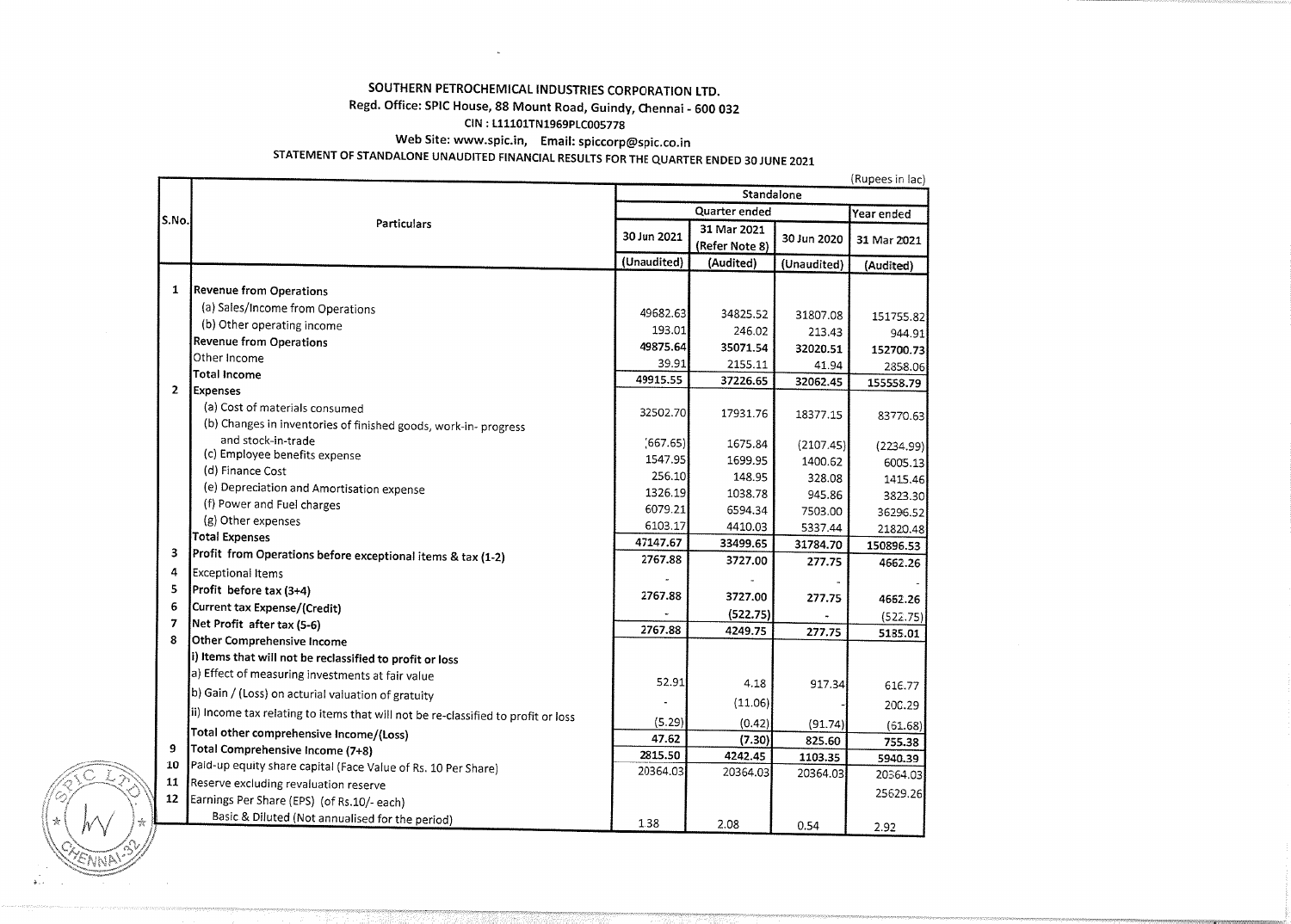# SOUTHERN PETROCHEMICAL INDUSTRIES CORPORATION LTD.

# Regd. Office: SPIC House, 88 Mount Road, Guindy, Chennai - 600 032

## CIN: L11101TN1969PLC005778

 $\sim$ 

Web Site: www.spic.in, Email: spiccorp@spic.co.in

# STATEMENT OF STANDALONE UNAUDITED FINANCIAL RESULTS FOR THE QUARTER ENDED 30 JUNE 2021

|                |                                                                                   | (Rupees in Tac)<br>Standalone |                |             |             |  |
|----------------|-----------------------------------------------------------------------------------|-------------------------------|----------------|-------------|-------------|--|
|                |                                                                                   |                               | Year ended     |             |             |  |
| S.No.          | Particulars                                                                       |                               | 31 Mar 2021    |             |             |  |
|                |                                                                                   | 30 Jun 2021                   | (Refer Note 8) | 30 Jun 2020 | 31 Mar 2021 |  |
|                |                                                                                   | (Unaudited)                   | (Audited)      | (Unaudited) | (Audited)   |  |
|                |                                                                                   |                               |                |             |             |  |
| 1              | <b>Revenue from Operations</b>                                                    |                               |                |             |             |  |
|                | (a) Sales/Income from Operations                                                  | 49682.63                      | 34825.52       | 31807.08    | 151755.82   |  |
|                | (b) Other operating income                                                        | 193.01                        | 246.02         | 213.43      | 944.91      |  |
|                | <b>Revenue from Operations</b>                                                    | 49875.64                      | 35071.54       | 32020.51    | 152700.73   |  |
|                | Other Income                                                                      | 39.91                         | 2155.11        | 41.94       | 2858.06     |  |
|                | <b>Total Income</b>                                                               | 49915.55                      | 37226.65       | 32062.45    | 155558.79   |  |
| $\overline{2}$ | <b>Expenses</b>                                                                   |                               |                |             |             |  |
|                | (a) Cost of materials consumed                                                    | 32502.70                      | 17931.76       | 18377.15    | 83770.63    |  |
|                | (b) Changes in inventories of finished goods, work-in-progress                    |                               |                |             |             |  |
|                | and stock-in-trade                                                                | (667.65)                      | 1675.84        | (2107.45)   | (2234.99)   |  |
|                | (c) Employee benefits expense                                                     | 1547.95                       | 1699.95        | 1400.62     | 6005.13     |  |
|                | (d) Finance Cost                                                                  | 256.10                        | 148.95         | 328.08      | 1415.46     |  |
|                | (e) Depreciation and Amortisation expense                                         | 1326.19                       | 1038.78        | 945.86      | 3823.30     |  |
|                | (f) Power and Fuel charges                                                        | 6079.21                       | 6594.34        | 7503.00     | 36296.52    |  |
|                | (g) Other expenses                                                                | 6103.17                       | 4410.03        | 5337.44     | 21820.48    |  |
| 3              | <b>Total Expenses</b>                                                             | 47147.67                      | 33499.65       | 31784.70    | 150896.53   |  |
|                | Profit from Operations before exceptional items & tax (1-2)                       | 2767.88                       | 3727.00        | 277.75      | 4662.26     |  |
| 4              | Exceptional Items                                                                 |                               |                |             |             |  |
| 5              | Profit before tax (3+4)                                                           | 2767.88                       | 3727.00        | 277.75      | 4662.26     |  |
| 6              | Current tax Expense/(Credit)                                                      |                               | (522.75)       |             | (522.75)    |  |
| 7              | Net Profit after tax (5-6)                                                        | 2767.88                       | 4249.75        | 277.75      | 5185.01     |  |
| 8              | Other Comprehensive Income                                                        |                               |                |             |             |  |
|                | i) Items that will not be reclassified to profit or loss                          |                               |                |             |             |  |
|                | a) Effect of measuring investments at fair value                                  | 52.91                         | 4.18           | 917.34      | 616.77      |  |
|                | b) Gain / (Loss) on acturial valuation of gratuity                                |                               | (11.06)        |             | 200.29      |  |
|                | ii) Income tax relating to items that will not be re-classified to profit or loss | (5.29)                        |                |             |             |  |
|                | Total other comprehensive Income/(Loss)                                           | 47.62                         | (0.42)         | (91.74)     | (61.68)     |  |
| 9              | Total Comprehensive Income (7+8)                                                  | 2815.50                       | (7.30)         | 825.60      | 755.38      |  |
| 10             | Paid-up equity share capital (Face Value of Rs. 10 Per Share)                     | 20364.03                      | 4242.45        | 1103.35     | 5940.39     |  |
| 11             | Reserve excluding revaluation reserve                                             |                               | 20364.03       | 20364.03    | 20364.03    |  |
| 12             | Earnings Per Share (EPS) (of Rs.10/- each)                                        |                               |                |             | 25629.26    |  |
|                | Basic & Diluted (Not annualised for the period)                                   |                               |                |             |             |  |
|                |                                                                                   | 1.38                          | 2.08           | 0.54        | 292         |  |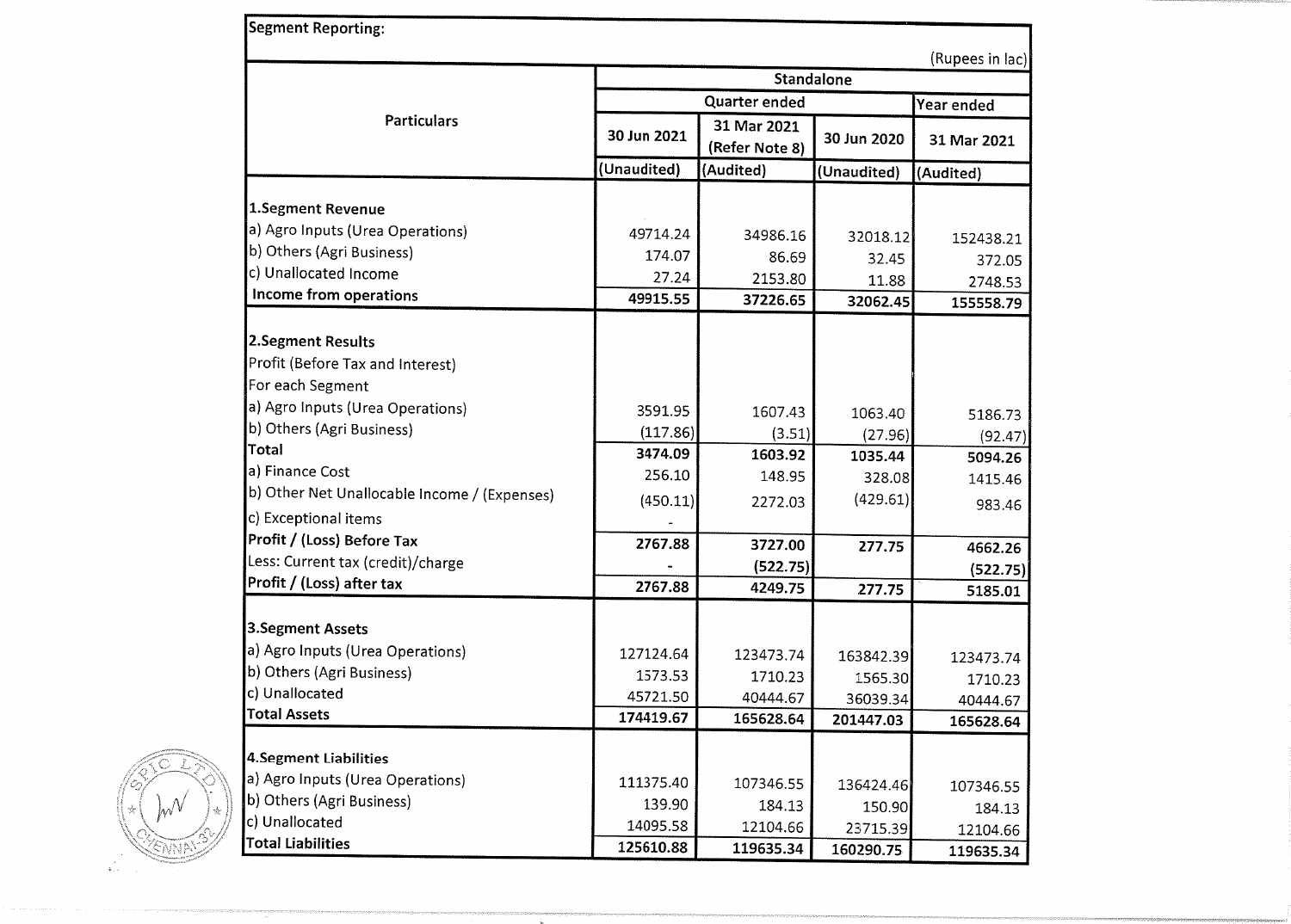| Segment Reporting:                           |             |                               |             |                 |  |
|----------------------------------------------|-------------|-------------------------------|-------------|-----------------|--|
|                                              |             |                               |             | (Rupees in lac) |  |
|                                              | Standalone  |                               |             |                 |  |
|                                              |             | Quarter ended                 |             |                 |  |
| <b>Particulars</b>                           | 30 Jun 2021 | 31 Mar 2021<br>(Refer Note 8) | 30 Jun 2020 | 31 Mar 2021     |  |
|                                              | (Unaudited) | (Audited)                     | (Unaudited) | (Audited)       |  |
| 1.Segment Revenue                            |             |                               |             |                 |  |
| a) Agro Inputs (Urea Operations)             |             |                               |             |                 |  |
| b) Others (Agri Business)                    | 49714.24    | 34986.16                      | 32018.12    | 152438.21       |  |
| c) Unallocated Income                        | 174.07      | 86.69                         | 32.45       | 372.05          |  |
|                                              | 27.24       | 2153.80                       | 11.88       | 2748.53         |  |
| Income from operations                       | 49915.55    | 37226.65                      | 32062.45    | 155558.79       |  |
| 2.Segment Results                            |             |                               |             |                 |  |
| Profit (Before Tax and Interest)             |             |                               |             |                 |  |
| For each Segment                             |             |                               |             |                 |  |
|                                              |             |                               |             |                 |  |
| a) Agro Inputs (Urea Operations)             | 3591.95     | 1607.43                       | 1063.40     | 5186.73         |  |
| b) Others (Agri Business)                    | (117.86)    | (3.51)                        | (27.96)     | (92.47)         |  |
| <b>Total</b>                                 | 3474.09     | 1603.92                       | 1035.44     | 5094.26         |  |
| a) Finance Cost                              | 256.10      | 148.95                        | 328.08      | 1415.46         |  |
| b) Other Net Unallocable Income / (Expenses) | (450.11)    | 2272.03                       | (429.61)    | 983.46          |  |
| c) Exceptional items                         |             |                               |             |                 |  |
| Profit / (Loss) Before Tax                   | 2767.88     | 3727.00                       | 277.75      | 4662.26         |  |
| Less: Current tax (credit)/charge            |             | (522.75)                      |             | (522.75)        |  |
| Profit / (Loss) after tax                    | 2767.88     | 4249.75                       | 277.75      | 5185.01         |  |
|                                              |             |                               |             |                 |  |
| 3.Segment Assets                             |             |                               |             |                 |  |
| a) Agro Inputs (Urea Operations)             | 127124.64   | 123473.74                     | 163842.39   | 123473.74       |  |
| b) Others (Agri Business)                    | 1573.53     | 1710.23                       | 1565.30     | 1710.23         |  |
| c) Unallocated                               | 45721.50    | 40444.67                      | 36039.34    | 40444.67        |  |
| <b>Total Assets</b>                          | 174419.67   | 165628.64                     | 201447.03   | 165628.64       |  |
| 4. Segment Liabilities                       |             |                               |             |                 |  |
| a) Agro Inputs (Urea Operations)             | 111375.40   | 107346.55                     |             |                 |  |
| b) Others (Agri Business)                    | 139.90      | 184.13                        | 136424.46   | 107346.55       |  |
| c) Unallocated                               | 14095.58    | 12104.66                      | 150.90      | 184.13          |  |
| <b>Total Liabilities</b>                     | 125610.88   | 119635.34                     | 23715.39    | 12104.66        |  |
|                                              |             |                               | 160290.75   | 119635.34       |  |

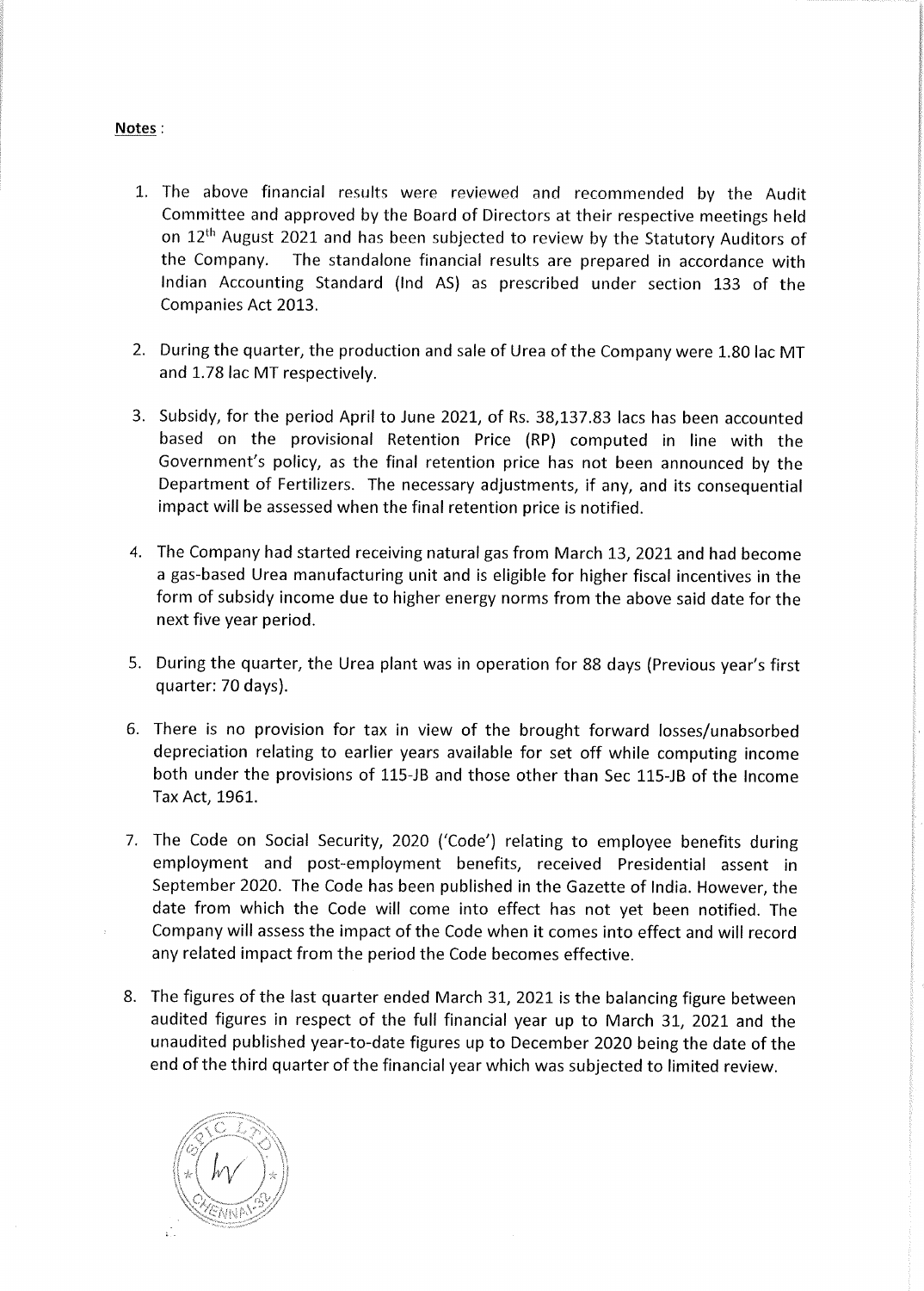#### Notes:

- 1. The above financial results were reviewed and recommended by the Audit Committee and approved by the Board of Directors at their respective meetings held on 12<sup>th</sup> August 2021 and has been subjected to review by the Statutory Auditors of the Company. The standalone financial results are prepared in accordance with Indian Accounting Standard (Ind AS) as prescribed under section 133 of the Companies Act 2013.
- 2. During the quarter, the production and sale of Urea of the Company were 1.80 lac MT and 1.78 lac MT respectively.
- 3. Subsidy, for the period April to June 2021, of Rs. 38,137.83 lacs has been accounted based on the provisional Retention Price (RP) computed in line with the Government's policy, as the final retention price has not been announced by the Department of Fertilizers. The necessary adjustments, if any, and its consequential impact will be assessed when the final retention price is notified.
- 4. The Company had started receiving natural gas from March 13, 2021 and had become a gas-based Urea manufacturing unit and is eligible for higher fiscal incentives in the form of subsidy income due to higher energy norms from the above said date for the next five year period.
- 5. During the quarter, the Urea plant was in operation for 88 days (Previous year's first quarter: 70 days).
- 6. There is no provision for tax in view of the brought forward losses/unabsorbed depreciation relating to earlier years available for set off while computing income both under the provisions of 115-JB and those other than Sec 115-JB of the Income Tax Act, 1961.
- 7. The Code on Social Security, 2020 ('Code') relating to employee benefits during employment and post-employment benefits, received Presidential assent in September 2020. The Code has been published in the Gazette of India. However, the date from which the Code will come into effect has not yet been notified. The Company will assess the impact of the Code when it comes into effect and will record any related impact from the period the Code becomes effective.
- 8. The figures of the last quarter ended March 31, 2021 is the balancing figure between audited figures in respect of the full financial year up to March 31, 2021 and the unaudited published year-to-date figures up to December 2020 being the date of the end of the third quarter of the financial year which was subjected to limited review.

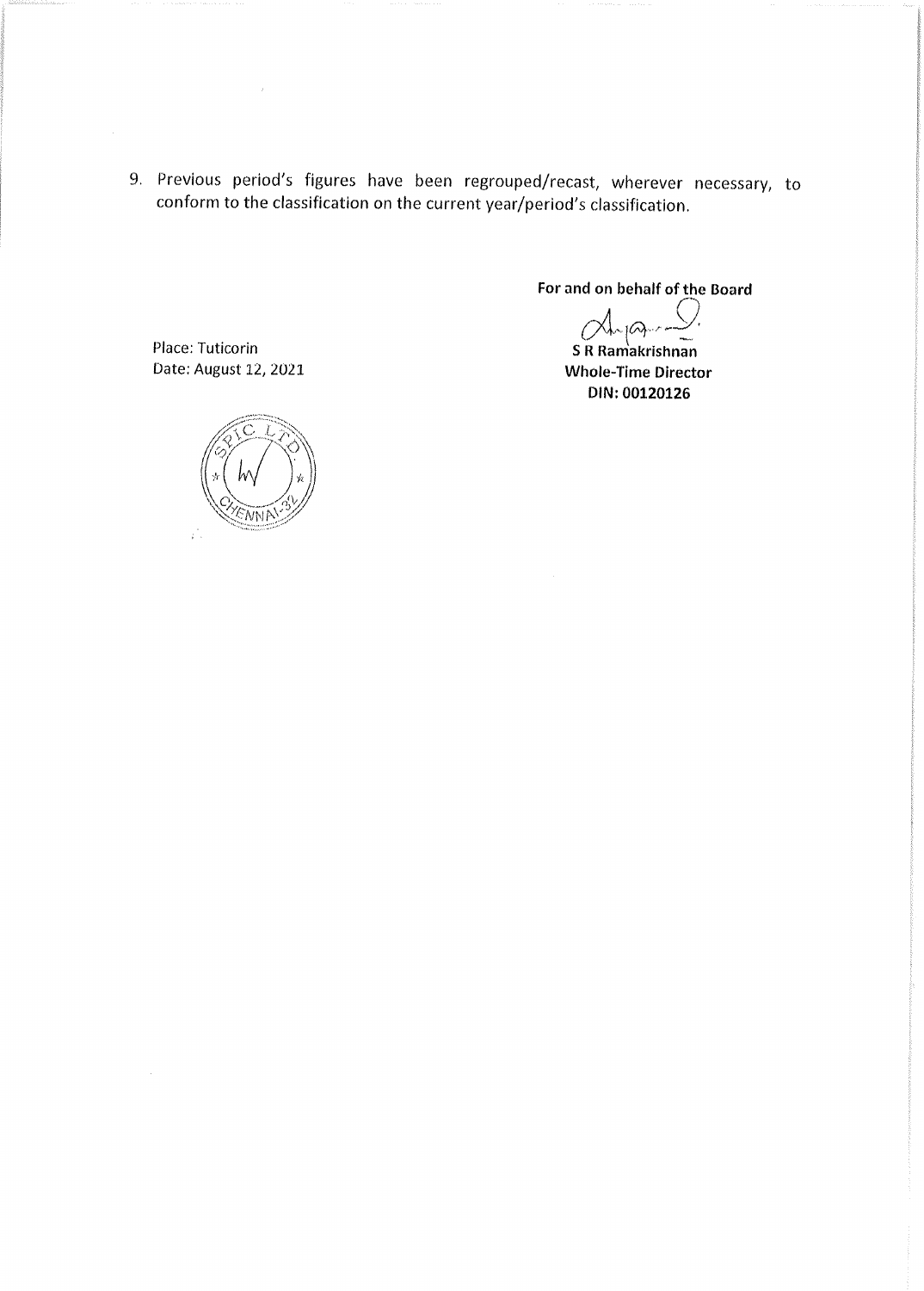9. Previous period's figures have been regrouped/recast, wherever necessary, to conform to the classification on the current year/period's classification.

For and on behalf of the Board

 $Q_{n}$ 

S R Ramakrishnan **Whole-Time Director** DIN: 00120126

Place: Tuticorin Date: August 12, 2021



 $\mathcal{L}$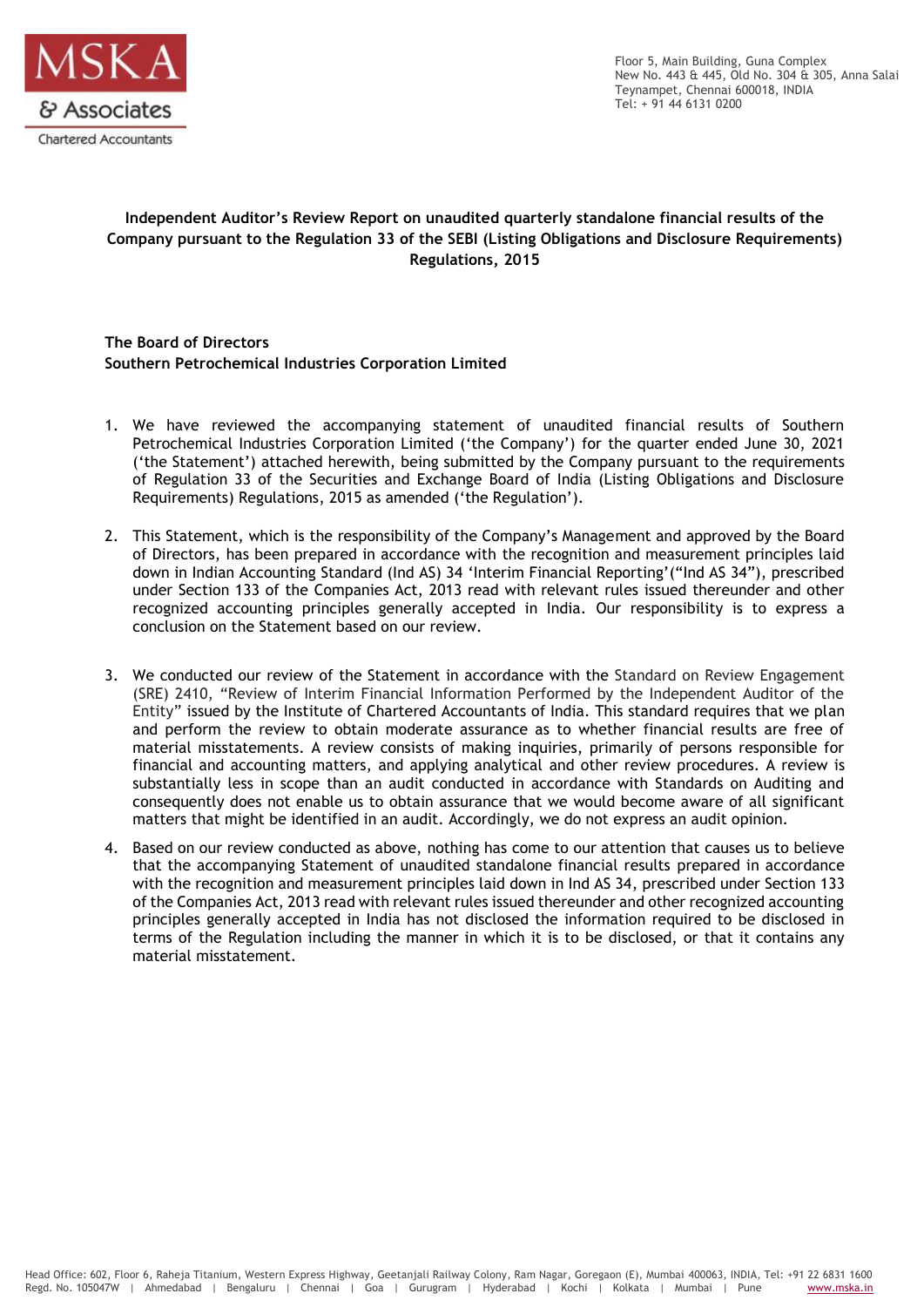

Floor 5, Main Building, Guna Complex New No. 443 & 445, Old No. 304 & 305, Anna Salai Teynampet, Chennai 600018, INDIA Tel: + 91 44 6131 0200

# **Independent Auditor's Review Report on unaudited quarterly standalone financial results of the Company pursuant to the Regulation 33 of the SEBI (Listing Obligations and Disclosure Requirements) Regulations, 2015**

**The Board of Directors Southern Petrochemical Industries Corporation Limited**

- 1. We have reviewed the accompanying statement of unaudited financial results of Southern Petrochemical Industries Corporation Limited ('the Company') for the quarter ended June 30, 2021 ('the Statement') attached herewith, being submitted by the Company pursuant to the requirements of Regulation 33 of the Securities and Exchange Board of India (Listing Obligations and Disclosure Requirements) Regulations, 2015 as amended ('the Regulation').
- 2. This Statement, which is the responsibility of the Company's Management and approved by the Board of Directors, has been prepared in accordance with the recognition and measurement principles laid down in Indian Accounting Standard (Ind AS) 34 'Interim Financial Reporting'("Ind AS 34"), prescribed under Section 133 of the Companies Act, 2013 read with relevant rules issued thereunder and other recognized accounting principles generally accepted in India. Our responsibility is to express a conclusion on the Statement based on our review.
- 3. We conducted our review of the Statement in accordance with the Standard on Review Engagement (SRE) 2410, "Review of Interim Financial Information Performed by the Independent Auditor of the Entity" issued by the Institute of Chartered Accountants of India. This standard requires that we plan and perform the review to obtain moderate assurance as to whether financial results are free of material misstatements. A review consists of making inquiries, primarily of persons responsible for financial and accounting matters, and applying analytical and other review procedures. A review is substantially less in scope than an audit conducted in accordance with Standards on Auditing and consequently does not enable us to obtain assurance that we would become aware of all significant matters that might be identified in an audit. Accordingly, we do not express an audit opinion.
- 4. Based on our review conducted as above, nothing has come to our attention that causes us to believe that the accompanying Statement of unaudited standalone financial results prepared in accordance with the recognition and measurement principles laid down in Ind AS 34, prescribed under Section 133 of the Companies Act, 2013 read with relevant rules issued thereunder and other recognized accounting principles generally accepted in India has not disclosed the information required to be disclosed in terms of the Regulation including the manner in which it is to be disclosed, or that it contains any material misstatement.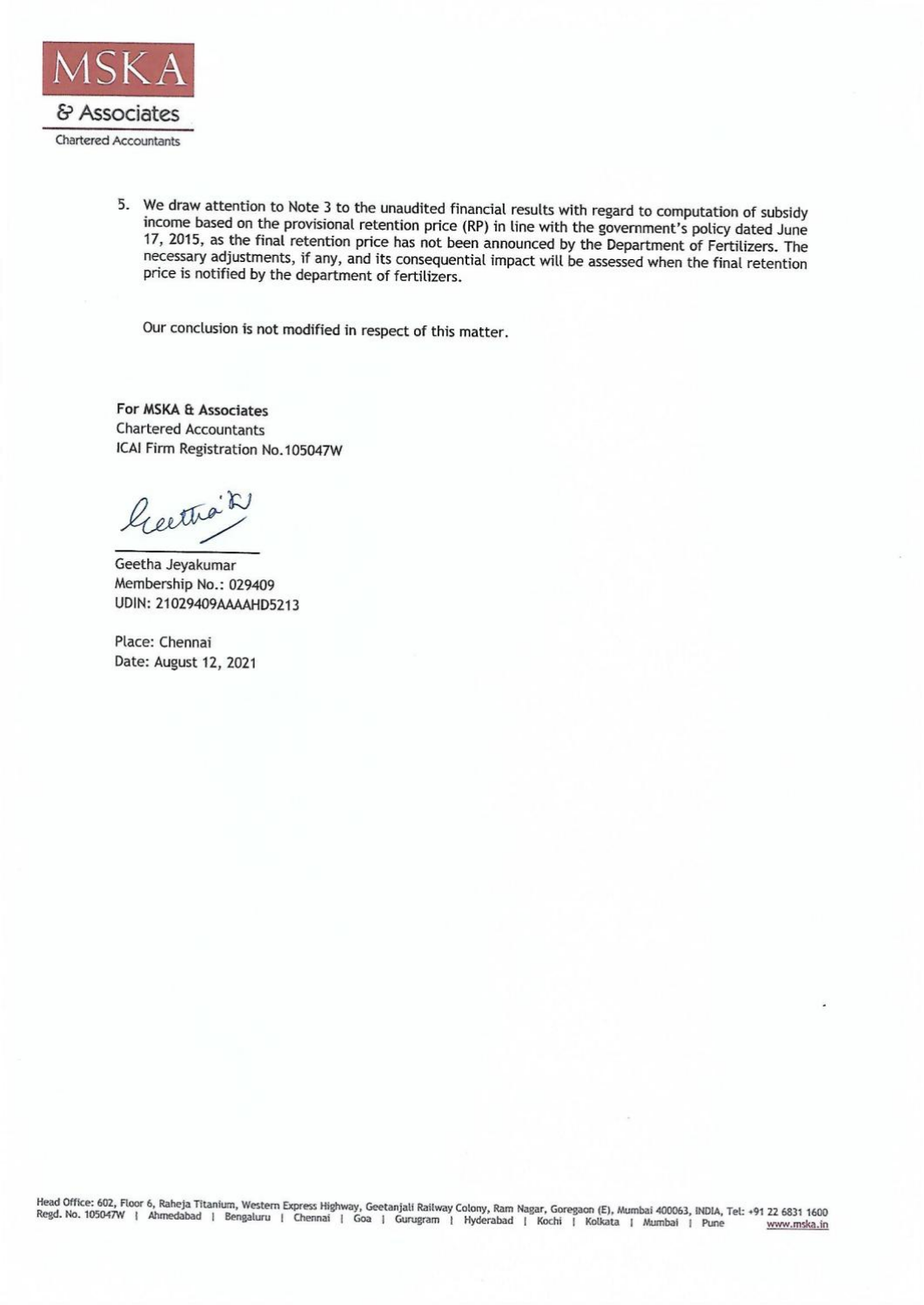

5. We draw attention to Note 3 to the unaudited financial results with regard to computation of subsidy income based on the provisional retention price (RP) in line with the government's policy dated June 17, 2015, as the final retention price has not been announced by the Department of Fertilizers. The necessary adjustments, if any, and its consequential impact will be assessed when the final retention price is notified by the department of fertilizers.

Our conclusion is not modified in respect of this matter.

For MSKA & Associates **Chartered Accountants** ICAI Firm Registration No.105047W

lectro's

Geetha Jeyakumar Membership No.: 029409 UDIN: 21029409AAAAHD5213

Place: Chennai Date: August 12, 2021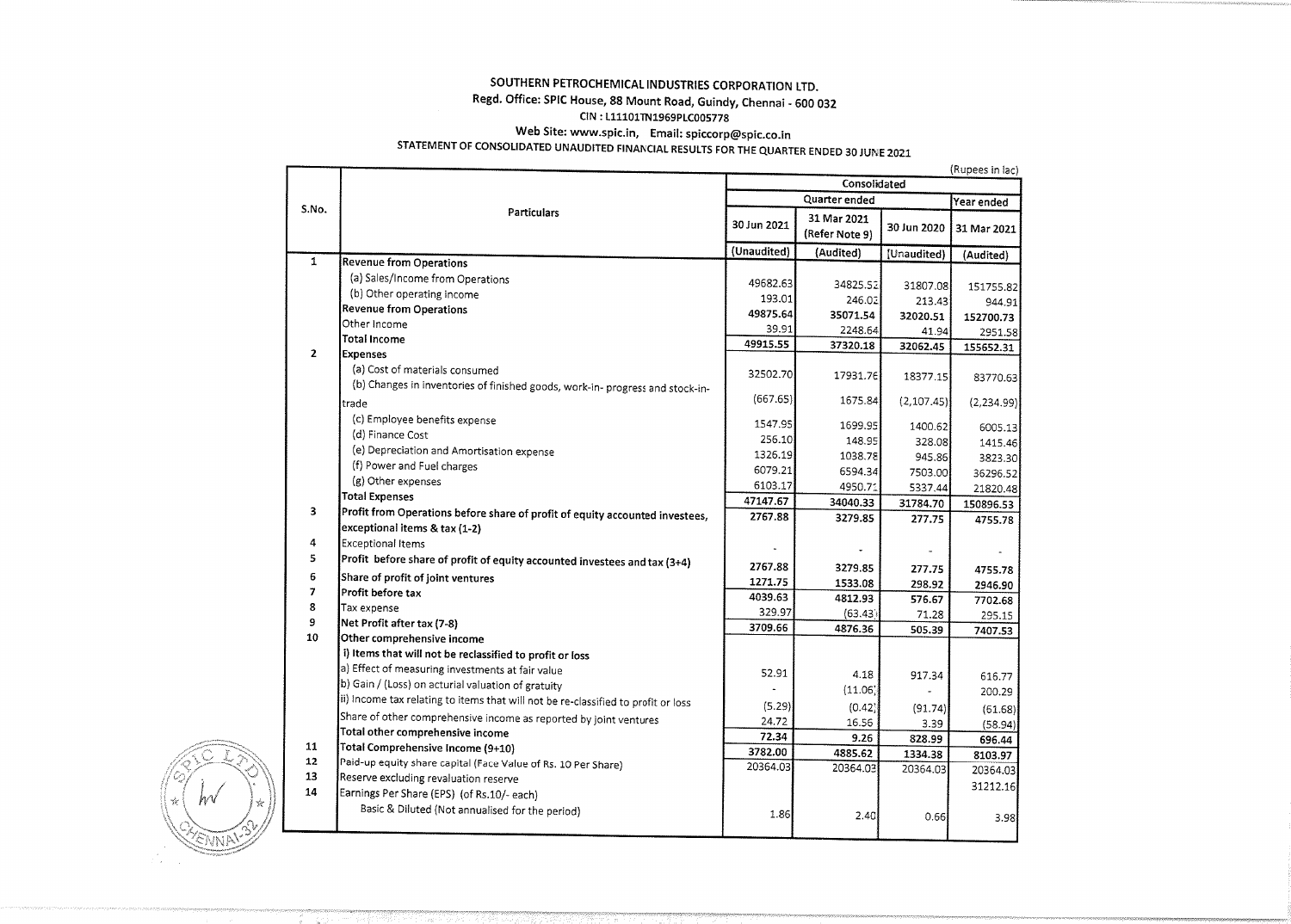#### SOUTHERN PETROCHEMICAL INDUSTRIES CORPORATION LTD. Regd. Office: SPIC House, 88 Mount Road, Guindy, Chennai - 600 032 CIN: L11101TN1969PLC005778 Web Site: www.spic.in, Email: spiccorp@spic.co.in STATEMENT OF CONSOLIDATED UNAUDITED FINANCIAL RESULTS FOR THE QUARTER ENDED 30 JUNE 2021

#### (Rupees in lac) Consolidated Quarter ended Year ended S.No. Particulars 31 Mar 2021 30 Jun 2021 30 Jun 2020 31 Mar 2021 (Refer Note 9) (Unaudited) (Audited) [Unaudited] (Audited)  $\mathbf{1}$ **Revenue from Operations** (a) Sales/Income from Operations 49682.63 34825.52 31807.08 151755.82 (b) Other operating income 193.01 246.02 213.43 944.91 **Revenue from Operations** 49875.64 35071.54 32020.51 152700.73 Other Income 39.91 2248.64 41.94 2951.58 **Total Income** 49915.55 37320.18 32062.45 155652.31  $\overline{2}$ **Expenses** (a) Cost of materials consumed 32502.70 17931.76 18377.15 83770.63 (b) Changes in inventories of finished goods, work-in- progress and stock-in- $(667.65)$ 1675.84  $(2, 107.45)$  $(2,234.99)$ trade (c) Employee benefits expense 1547.95 1699.95 1400.62 6005.13 (d) Finance Cost 256.10 148.95 328.08 1415.46 (e) Depreciation and Amortisation expense 1326.19 1038.78 945.86 3823.30 (f) Power and Fuel charges 6079.21 6594.34 7503.00 36296.52 (g) Other expenses 6103.17 4950.71 5337.44 21820.48 **Total Expenses** 47147.67 34040.33 31784.70 150896.53 Profit from Operations before share of profit of equity accounted investees, 3 2767.88 3279.85 277.75 4755.78 exceptional items & tax (1-2) 4 Exceptional Items  $\sim$  $\overline{a}$ Profit before share of profit of equity accounted investees and tax (3+4) 5 2767.88 3279.85 277.75 4755.78 6 Share of profit of joint ventures 1271.75 1533.08 298.92 2946.90 Profit before tax  $\overline{\mathbf{z}}$ 4039.63 4812.93 576.67 7702.68 8 Tax expense 329.97  $(63.43)$ 71.28 295.15 9 Net Profit after tax (7-8) 3709.66 4876.36 505.39 7407.53  $10<sup>10</sup>$ Other comprehensive income i) Items that will not be reclassified to profit or loss a) Effect of measuring investments at fair value 52.91 4.18 917.34 616.77 b) Gain / (Loss) on acturial valuation of gratuity  $(11.06)$  $\omega$ 200.29 (ii) Income tax relating to items that will not be re-classified to profit or loss  $(5.29)$  $(0.42)$  $(91.74)$  $(61.68)$ Share of other comprehensive income as reported by joint ventures 24.72 16.56 3.39  $(58.94)$ Total other comprehensive income 72.34 9.26 828.99 696.44 Total Comprehensive Income (9+10) 11 3782.00 4885.62 1334.38 8103.97  $12$ Paid-up equity share capital (Face Value of Rs. 10 Per Share) 20364.03 20364.03 20364.03 20364.03 13 Reserve excluding revaluation reserve 31212.16 Earnings Per Share (EPS) (of Rs.10/- each) 14 Basic & Diluted (Not annualised for the period) 1.86  $2.40$ 0.66 3.98

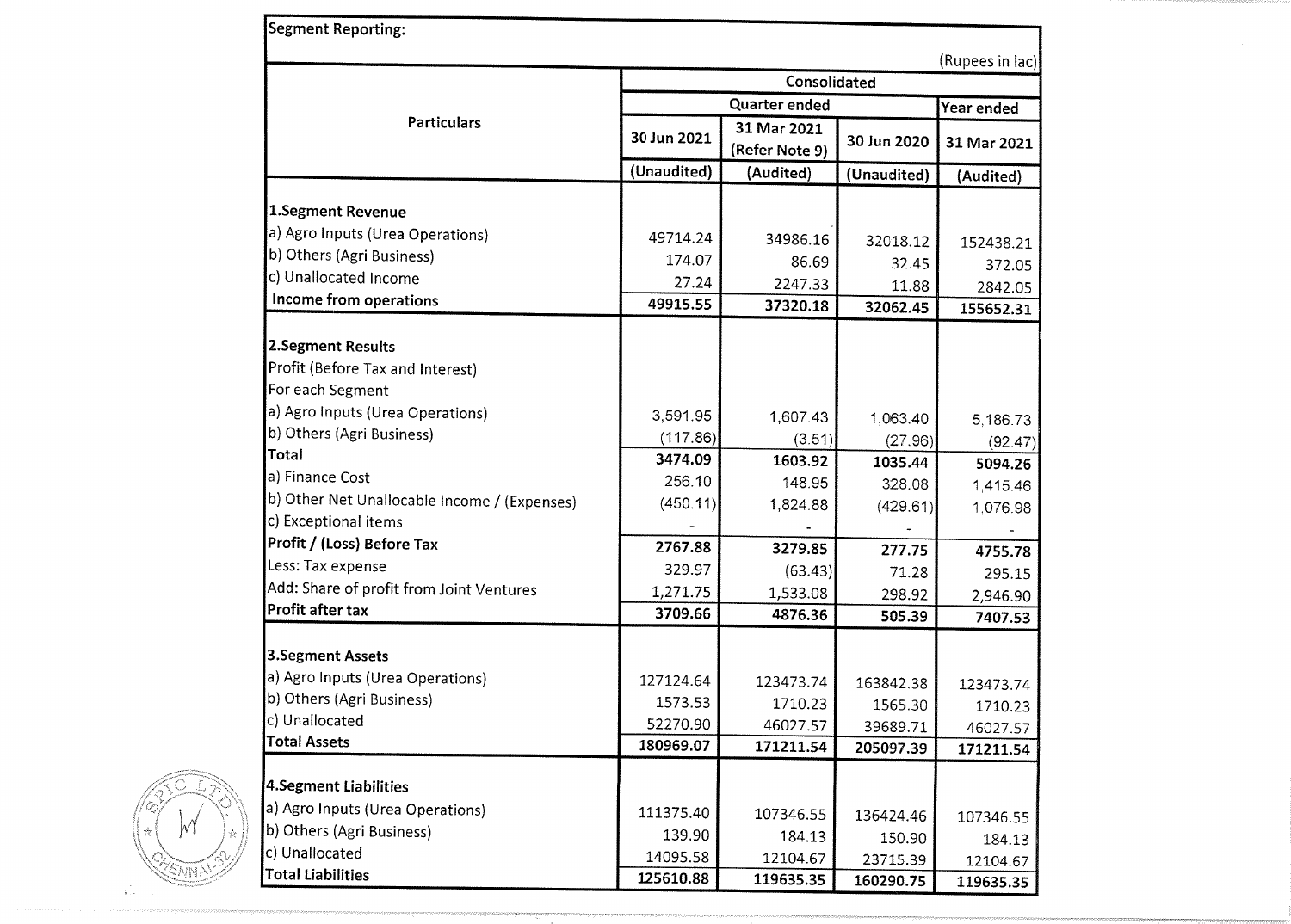| Segment Reporting:                           |                   |                               |                       |             |  |  |  |
|----------------------------------------------|-------------------|-------------------------------|-----------------------|-------------|--|--|--|
| (Rupees in lac)                              |                   |                               |                       |             |  |  |  |
|                                              |                   | Consolidated                  |                       |             |  |  |  |
|                                              |                   | Quarter ended                 |                       | Year ended  |  |  |  |
| <b>Particulars</b>                           | 30 Jun 2021       | 31 Mar 2021<br>(Refer Note 9) | 30 Jun 2020           | 31 Mar 2021 |  |  |  |
|                                              | (Unaudited)       | (Audited)                     | (Unaudited)           | (Audited)   |  |  |  |
| 1.Segment Revenue                            |                   |                               |                       |             |  |  |  |
| a) Agro Inputs (Urea Operations)             |                   |                               |                       |             |  |  |  |
| b) Others (Agri Business)                    | 49714.24          | 34986.16                      | 32018.12              | 152438.21   |  |  |  |
| c) Unallocated Income                        | 174.07            | 86.69                         | 32.45                 | 372.05      |  |  |  |
| Income from operations                       | 27.24<br>49915.55 | 2247.33                       | 11.88                 | 2842.05     |  |  |  |
|                                              |                   | 37320.18                      | 32062.45              | 155652.31   |  |  |  |
| 2.Segment Results                            |                   |                               |                       |             |  |  |  |
| Profit (Before Tax and Interest)             |                   |                               |                       |             |  |  |  |
| For each Segment                             |                   |                               |                       |             |  |  |  |
| a) Agro Inputs (Urea Operations)             | 3,591.95          | 1,607.43                      | 1,063.40              | 5,186.73    |  |  |  |
| b) Others (Agri Business)                    | (117.86)          | (3.51)                        | (27.96)               | (92.47)     |  |  |  |
| <b>Total</b>                                 | 3474.09           | 1603.92                       | 1035.44               | 5094.26     |  |  |  |
| a) Finance Cost                              | 256.10            | 148.95                        | 328.08                | 1,415.46    |  |  |  |
| b) Other Net Unallocable Income / (Expenses) | (450.11)          | 1,824.88                      | (429.61)              | 1,076.98    |  |  |  |
| c) Exceptional items                         |                   |                               |                       |             |  |  |  |
| Profit / (Loss) Before Tax                   | 2767.88           | 3279.85                       | 277.75                | 4755.78     |  |  |  |
| Less: Tax expense                            | 329.97            | (63.43)                       | 71.28                 | 295.15      |  |  |  |
| Add: Share of profit from Joint Ventures     | 1,271.75          | 1,533.08                      | 298.92                | 2,946.90    |  |  |  |
| Profit after tax                             | 3709.66           | 4876.36                       | 505.39                | 7407.53     |  |  |  |
|                                              |                   |                               |                       |             |  |  |  |
| <b>3.Segment Assets</b>                      |                   |                               |                       |             |  |  |  |
| a) Agro Inputs (Urea Operations)             | 127124.64         | 123473.74                     | 163842.38             | 123473.74   |  |  |  |
| b) Others (Agri Business)                    | 1573.53           | 1710.23                       | 1565.30               | 1710.23     |  |  |  |
| c) Unallocated                               | 52270.90          | 46027.57                      | 39689.71              | 46027.57    |  |  |  |
| <b>Total Assets</b>                          | 180969.07         | 171211.54                     | 205097.39             | 171211.54   |  |  |  |
| 4.Segment Liabilities                        |                   |                               |                       |             |  |  |  |
| a) Agro Inputs (Urea Operations)             | 111375.40         |                               |                       |             |  |  |  |
| b) Others (Agri Business)                    | 139.90            | 107346.55                     | 136424.46             | 107346.55   |  |  |  |
| c) Unallocated                               | 14095.58          | 184.13<br>12104.67            | 150.90                | 184.13      |  |  |  |
| <b>Total Liabilities</b>                     | 125610.88         | 119635.35                     | 23715.39<br>160290.75 | 12104.67    |  |  |  |
|                                              |                   |                               |                       | 119635.35   |  |  |  |

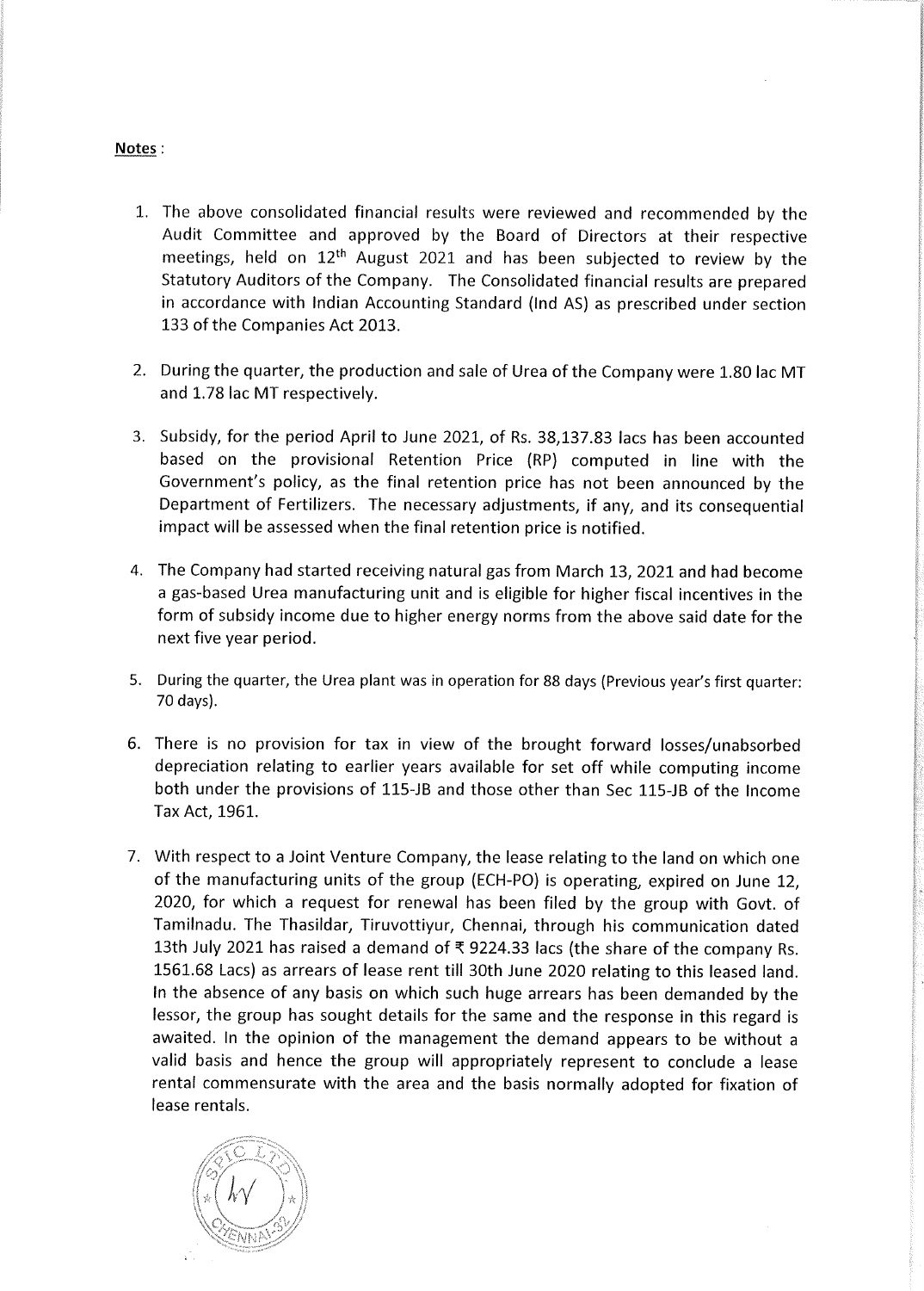## Notes:

- 1. The above consolidated financial results were reviewed and recommended by the Audit Committee and approved by the Board of Directors at their respective meetings, held on 12<sup>th</sup> August 2021 and has been subjected to review by the Statutory Auditors of the Company. The Consolidated financial results are prepared in accordance with Indian Accounting Standard (Ind AS) as prescribed under section 133 of the Companies Act 2013.
- 2. During the quarter, the production and sale of Urea of the Company were 1.80 lac MT and 1.78 lac MT respectively.
- 3. Subsidy, for the period April to June 2021, of Rs. 38,137.83 lacs has been accounted based on the provisional Retention Price (RP) computed in line with the Government's policy, as the final retention price has not been announced by the Department of Fertilizers. The necessary adjustments, if any, and its consequential impact will be assessed when the final retention price is notified.
- 4. The Company had started receiving natural gas from March 13, 2021 and had become a gas-based Urea manufacturing unit and is eligible for higher fiscal incentives in the form of subsidy income due to higher energy norms from the above said date for the next five year period.
- 5. During the quarter, the Urea plant was in operation for 88 days (Previous year's first quarter: 70 days).
- 6. There is no provision for tax in view of the brought forward losses/unabsorbed depreciation relating to earlier years available for set off while computing income both under the provisions of 115-JB and those other than Sec 115-JB of the Income Tax Act, 1961.
- 7. With respect to a Joint Venture Company, the lease relating to the land on which one of the manufacturing units of the group (ECH-PO) is operating, expired on June 12, 2020, for which a request for renewal has been filed by the group with Govt. of Tamilnadu. The Thasildar, Tiruvottiyur, Chennai, through his communication dated 13th July 2021 has raised a demand of ₹ 9224.33 lacs (the share of the company Rs. 1561.68 Lacs) as arrears of lease rent till 30th June 2020 relating to this leased land. In the absence of any basis on which such huge arrears has been demanded by the lessor, the group has sought details for the same and the response in this regard is awaited. In the opinion of the management the demand appears to be without a valid basis and hence the group will appropriately represent to conclude a lease rental commensurate with the area and the basis normally adopted for fixation of lease rentals.

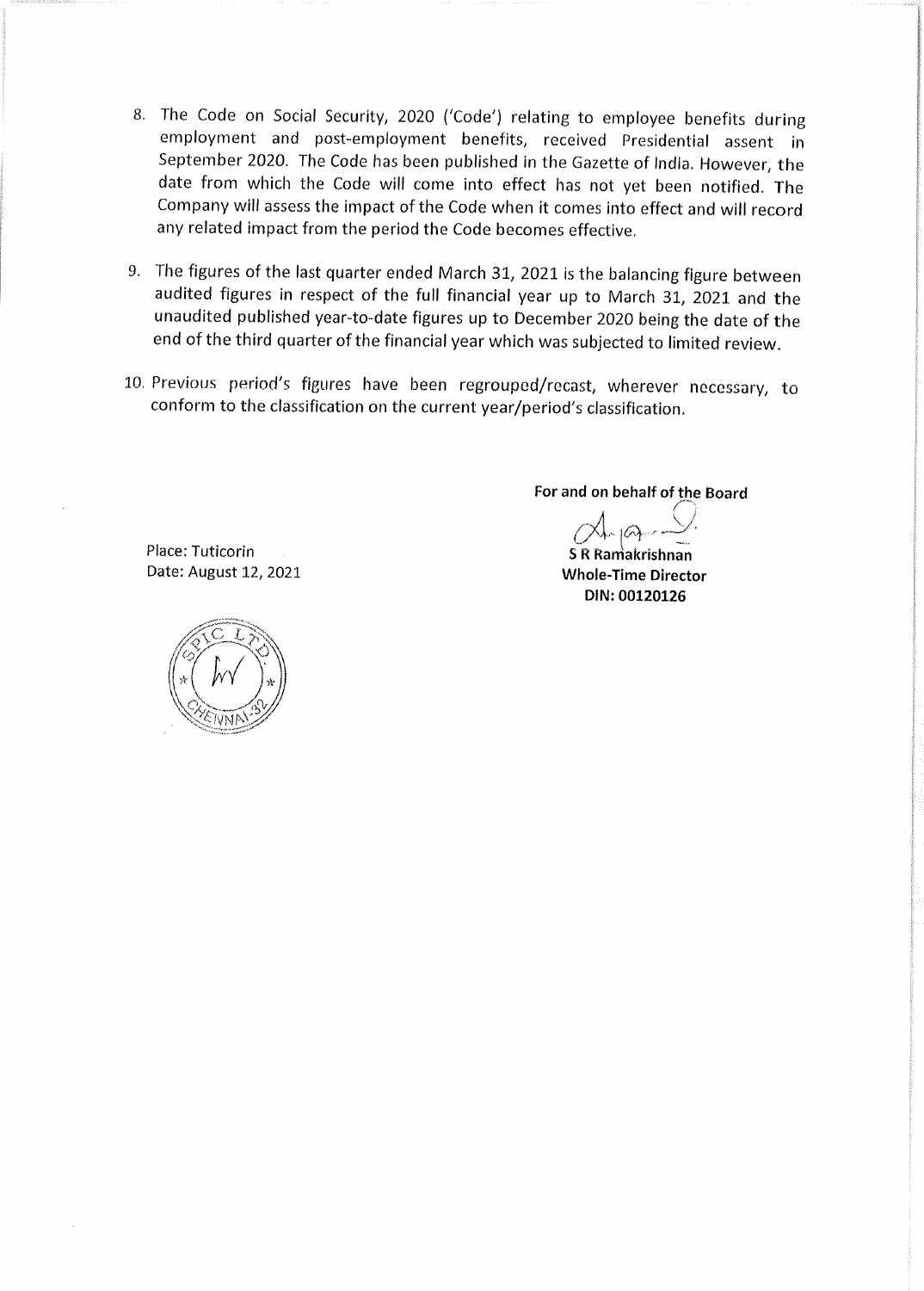- 8. The Code on Social Security, 2020 ('Code') relating to employee benefits during employment and post-employment benefits, received Presidential assent in September 2020. The Code has been published in the Gazette of India. However, the date from which the Code will come into effect has not yet been notified. The Company will assess the impact of the Code when it comes into effect and will record any related impact from the period the Code becomes effective.
- 9. The figures of the last quarter ended March 31, 2021 is the balancing figure between audited figures in respect of the full financial year up to March 31, 2021 and the unaudited published year-to-date figures up to December 2020 being the date of the end of the third quarter of the financial year which was subjected to limited review.
- 10. Previous period's figures have been regrouped/recast, wherever necessary, to conform to the classification on the current year/period's classification.

For and on behalf of the Board

**S R Ramakrishnan Whole-Time Director** DIN: 00120126

Place: Tuticorin Date: August 12, 2021

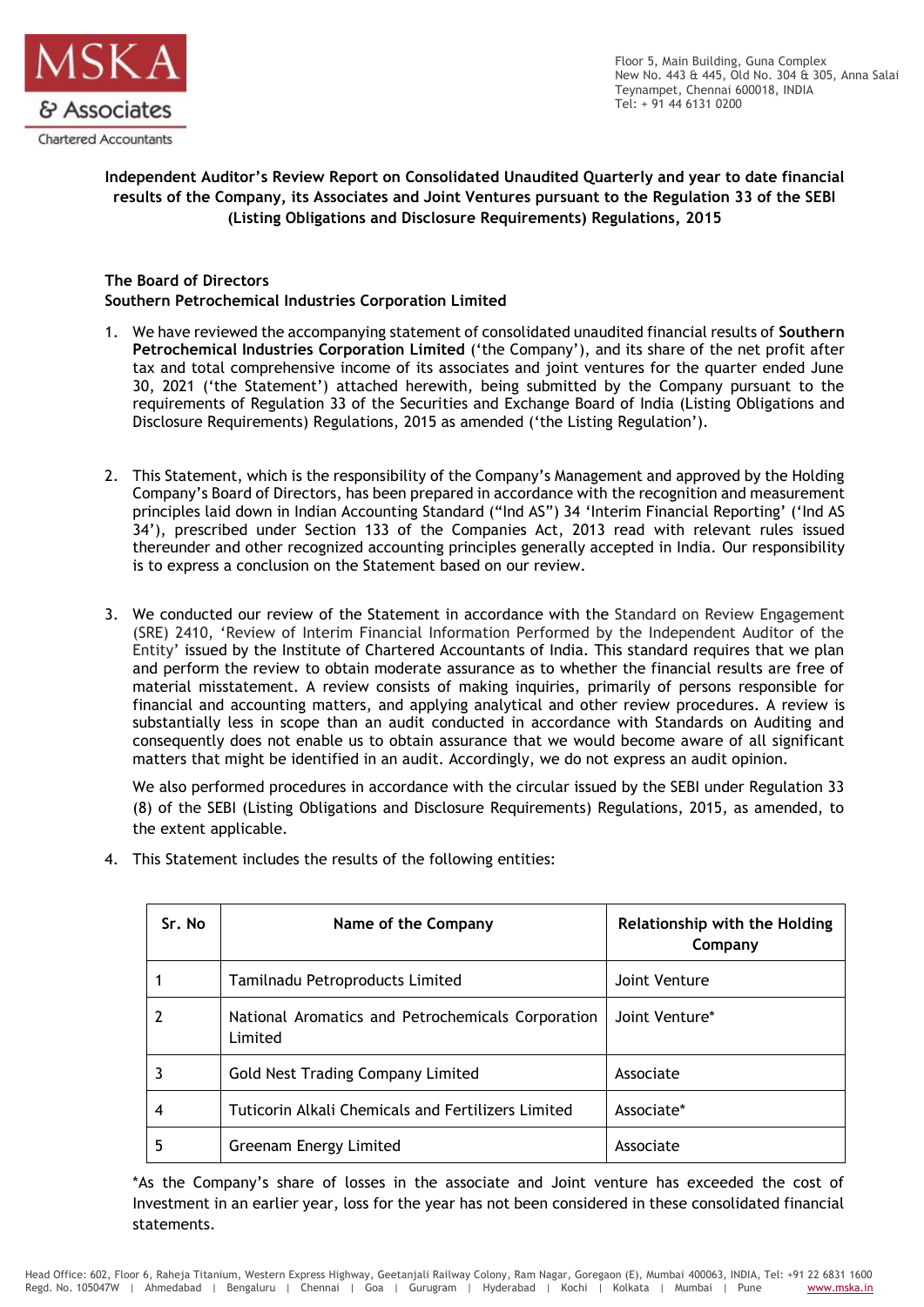

Floor 5, Main Building, Guna Complex New No. 443 & 445, Old No. 304 & 305, Anna Salai Teynampet, Chennai 600018, INDIA Tel: + 91 44 6131 0200

# **Independent Auditor's Review Report on Consolidated Unaudited Quarterly and year to date financial results of the Company, its Associates and Joint Ventures pursuant to the Regulation 33 of the SEBI (Listing Obligations and Disclosure Requirements) Regulations, 2015**

## **The Board of Directors Southern Petrochemical Industries Corporation Limited**

- 1. We have reviewed the accompanying statement of consolidated unaudited financial results of **Southern Petrochemical Industries Corporation Limited** ('the Company'), and its share of the net profit after tax and total comprehensive income of its associates and joint ventures for the quarter ended June 30, 2021 ('the Statement') attached herewith, being submitted by the Company pursuant to the requirements of Regulation 33 of the Securities and Exchange Board of India (Listing Obligations and Disclosure Requirements) Regulations, 2015 as amended ('the Listing Regulation').
- 2. This Statement, which is the responsibility of the Company's Management and approved by the Holding Company's Board of Directors, has been prepared in accordance with the recognition and measurement principles laid down in Indian Accounting Standard ("Ind AS") 34 'Interim Financial Reporting' ('Ind AS 34'), prescribed under Section 133 of the Companies Act, 2013 read with relevant rules issued thereunder and other recognized accounting principles generally accepted in India. Our responsibility is to express a conclusion on the Statement based on our review.
- 3. We conducted our review of the Statement in accordance with the Standard on Review Engagement (SRE) 2410, 'Review of Interim Financial Information Performed by the Independent Auditor of the Entity' issued by the Institute of Chartered Accountants of India. This standard requires that we plan and perform the review to obtain moderate assurance as to whether the financial results are free of material misstatement. A review consists of making inquiries, primarily of persons responsible for financial and accounting matters, and applying analytical and other review procedures. A review is substantially less in scope than an audit conducted in accordance with Standards on Auditing and consequently does not enable us to obtain assurance that we would become aware of all significant matters that might be identified in an audit. Accordingly, we do not express an audit opinion.

We also performed procedures in accordance with the circular issued by the SEBI under Regulation 33 (8) of the SEBI (Listing Obligations and Disclosure Requirements) Regulations, 2015, as amended, to the extent applicable.

| Sr. No | Name of the Company                                          | <b>Relationship with the Holding</b><br>Company |
|--------|--------------------------------------------------------------|-------------------------------------------------|
|        | Tamilnadu Petroproducts Limited                              | Joint Venture                                   |
|        | National Aromatics and Petrochemicals Corporation<br>Limited | Joint Venture*                                  |
|        | Gold Nest Trading Company Limited                            | Associate                                       |
| 4      | Tuticorin Alkali Chemicals and Fertilizers Limited           | Associate*                                      |
| 5      | Greenam Energy Limited                                       | Associate                                       |

4. This Statement includes the results of the following entities:

\*As the Company's share of losses in the associate and Joint venture has exceeded the cost of Investment in an earlier year, loss for the year has not been considered in these consolidated financial statements.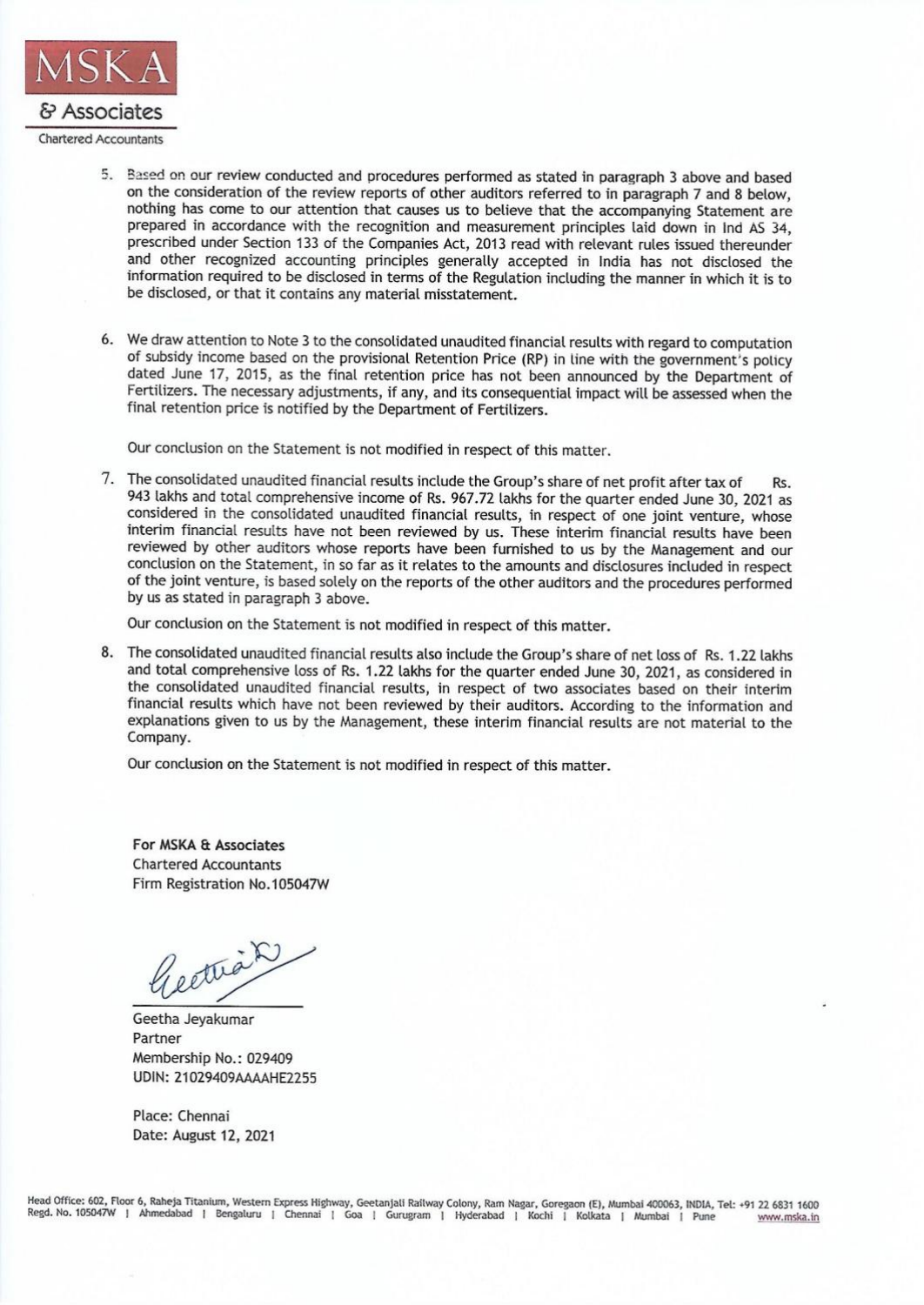

- 5. Based on our review conducted and procedures performed as stated in paragraph 3 above and based on the consideration of the review reports of other auditors referred to in paragraph 7 and 8 below, nothing has come to our attention that causes us to believe that the accompanying Statement are prepared in accordance with the recognition and measurement principles laid down in Ind AS 34, prescribed under Section 133 of the Companies Act, 2013 read with relevant rules issued thereunder and other recognized accounting principles generally accepted in India has not disclosed the information required to be disclosed in terms of the Regulation including the manner in which it is to be disclosed, or that it contains any material misstatement.
- 6. We draw attention to Note 3 to the consolidated unaudited financial results with regard to computation of subsidy income based on the provisional Retention Price (RP) in line with the government's policy dated June 17, 2015, as the final retention price has not been announced by the Department of Fertilizers. The necessary adjustments, if any, and its consequential impact will be assessed when the final retention price is notified by the Department of Fertilizers.

Our conclusion on the Statement is not modified in respect of this matter.

7. The consolidated unaudited financial results include the Group's share of net profit after tax of  $Re$ 943 lakhs and total comprehensive income of Rs. 967.72 lakhs for the quarter ended June 30, 2021 as considered in the consolidated unaudited financial results, in respect of one joint venture, whose interim financial results have not been reviewed by us. These interim financial results have been reviewed by other auditors whose reports have been furnished to us by the Management and our conclusion on the Statement, in so far as it relates to the amounts and disclosures included in respect of the joint venture, is based solely on the reports of the other auditors and the procedures performed by us as stated in paragraph 3 above.

Our conclusion on the Statement is not modified in respect of this matter.

8. The consolidated unaudited financial results also include the Group's share of net loss of Rs. 1.22 lakhs and total comprehensive loss of Rs. 1.22 lakhs for the quarter ended June 30, 2021, as considered in the consolidated unaudited financial results, in respect of two associates based on their interim financial results which have not been reviewed by their auditors. According to the information and explanations given to us by the Management, these interim financial results are not material to the Company.

Our conclusion on the Statement is not modified in respect of this matter.

For MSKA & Associates **Chartered Accountants** Firm Registration No.105047W

Geethian

Geetha Jevakumar Partner Membership No.: 029409 UDIN: 21029409AAAAHE2255

Place: Chennai Date: August 12, 2021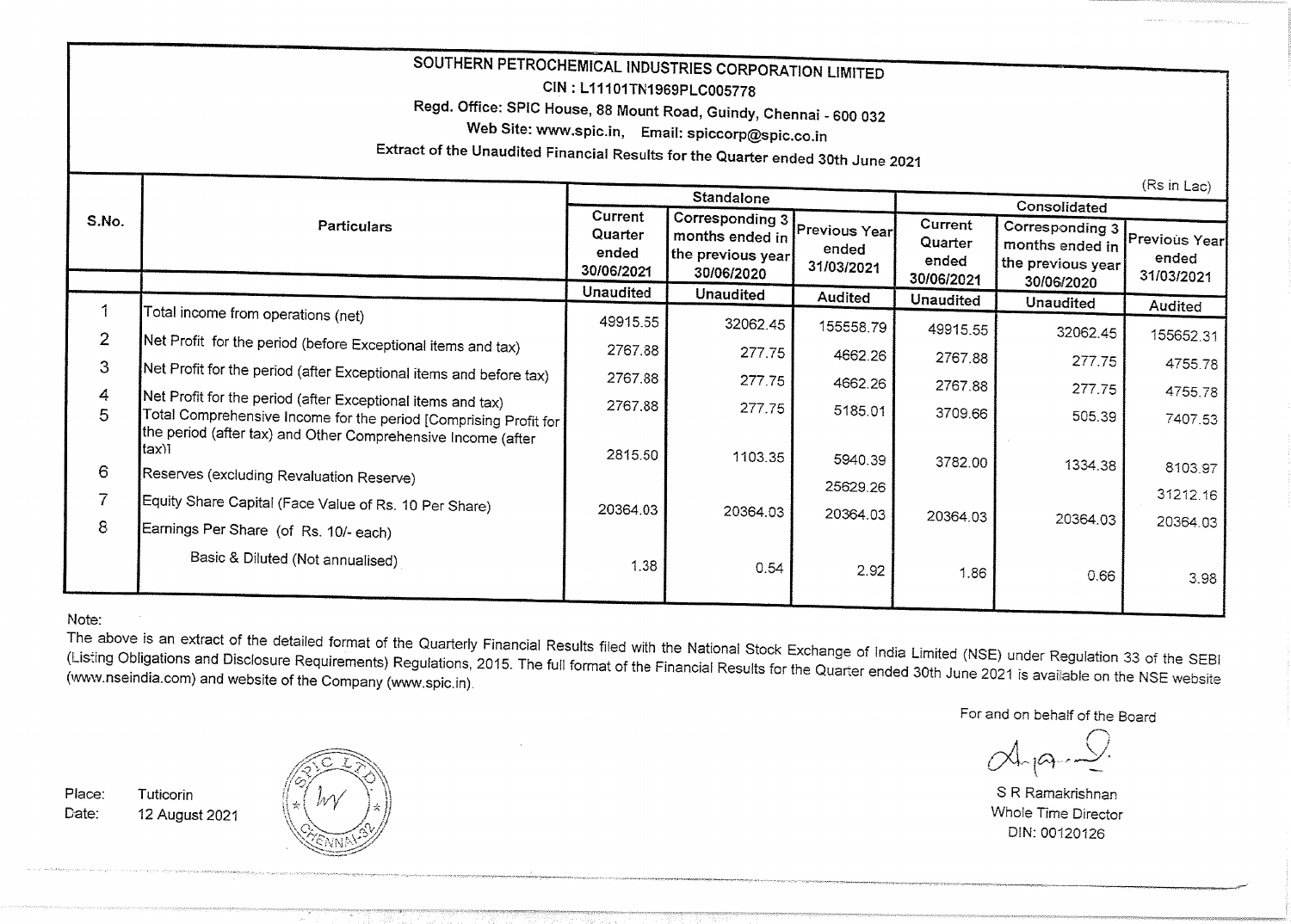| SOUTHERN PETROCHEMICAL INDUSTRIES CORPORATION LIMITED<br>CIN: L11101TN1969PLC005778<br>Regd. Office: SPIC House, 88 Mount Road, Guindy, Chennai - 600 032<br>Web Site: www.spic.in, Email: spiccorp@spic.co.in<br>Extract of the Unaudited Financial Results for the Quarter ended 30th June 2021 |                                                                                                                                                                                                   |                                           |                                                                       |                                      |                                           |                                                                       |                                      |  |
|---------------------------------------------------------------------------------------------------------------------------------------------------------------------------------------------------------------------------------------------------------------------------------------------------|---------------------------------------------------------------------------------------------------------------------------------------------------------------------------------------------------|-------------------------------------------|-----------------------------------------------------------------------|--------------------------------------|-------------------------------------------|-----------------------------------------------------------------------|--------------------------------------|--|
| Standalone                                                                                                                                                                                                                                                                                        |                                                                                                                                                                                                   |                                           |                                                                       |                                      |                                           |                                                                       | (Rs in Lac)<br>Consolidated          |  |
| S.No.                                                                                                                                                                                                                                                                                             | <b>Particulars</b>                                                                                                                                                                                | Current<br>Quarter<br>ended<br>30/06/2021 | Corresponding 3<br>months ended in<br>the previous year<br>30/06/2020 | Previous Year<br>ended<br>31/03/2021 | Current<br>Quarter<br>ended<br>30/06/2021 | Corresponding 3<br>months ended in<br>the previous year<br>30/06/2020 | Previous Year<br>ended<br>31/03/2021 |  |
|                                                                                                                                                                                                                                                                                                   |                                                                                                                                                                                                   | <b>Unaudited</b>                          | <b>Unaudited</b>                                                      | Audited                              | <b>Unaudited</b>                          | <b>Unaudited</b>                                                      | Audited                              |  |
|                                                                                                                                                                                                                                                                                                   | Total income from operations (net)                                                                                                                                                                | 49915.55                                  | 32062.45                                                              | 155558.79                            | 49915.55                                  |                                                                       |                                      |  |
| $\overline{2}$                                                                                                                                                                                                                                                                                    | Net Profit for the period (before Exceptional items and tax)                                                                                                                                      | 2767.88                                   | 277.75                                                                |                                      |                                           | 32062.45                                                              | 155652.31                            |  |
| 3                                                                                                                                                                                                                                                                                                 | Net Profit for the period (after Exceptional items and before tax)                                                                                                                                |                                           |                                                                       | 4662.26                              | 2767.88                                   | 277.75                                                                | 4755.78                              |  |
| 4                                                                                                                                                                                                                                                                                                 |                                                                                                                                                                                                   | 2767.88                                   | 277.75                                                                | 4662.26                              | 2767.88                                   | 277.75                                                                | 4755.78                              |  |
| 5                                                                                                                                                                                                                                                                                                 | Net Profit for the period (after Exceptional items and tax)<br>Total Comprehensive Income for the period [Comprising Profit for  <br>the period (after tax) and Other Comprehensive Income (after | 2767.88                                   | 277.75                                                                | 5185.01                              | 3709.66                                   | 505.39                                                                | 7407.53                              |  |
| 6                                                                                                                                                                                                                                                                                                 | tax)1<br>Reserves (excluding Revaluation Reserve)                                                                                                                                                 | 2815.50                                   | 1103.35                                                               | 5940.39                              | 3782.00                                   | 1334.38                                                               | 8103.97                              |  |
|                                                                                                                                                                                                                                                                                                   |                                                                                                                                                                                                   |                                           |                                                                       | 25629.26                             |                                           |                                                                       | 31212.16                             |  |
| 8                                                                                                                                                                                                                                                                                                 | Equity Share Capital (Face Value of Rs. 10 Per Share)<br>Earnings Per Share (of Rs. 10/- each)                                                                                                    | 20364.03                                  | 20364.03                                                              | 20364.03                             | 20364.03                                  | 20364.03                                                              | 20364.03                             |  |
|                                                                                                                                                                                                                                                                                                   | Basic & Diluted (Not annualised)                                                                                                                                                                  | 1.38                                      | 0.54                                                                  | 2.92                                 | 1.86                                      | 0.66                                                                  | 3.98                                 |  |

#### Note:

The above is an extract of the detailed format of the Quarterly Financial Results filed with the National Stock Exchange of India Limited (NSE) under Regulation 33 of the SEBI (Listing Obligations and Disclosure Requirements) Regulations, 2015. The full format of the Financial Results for the Quarter ended 30th June 2021 is available on the NSE website (www.nseindia.com) and website of the Company (www.spic.in).

For and on behalf of the Board

S R Ramakrishnan Whole Time Director DIN: 00120126

Place: Tuticorin Date: 12 August 2021

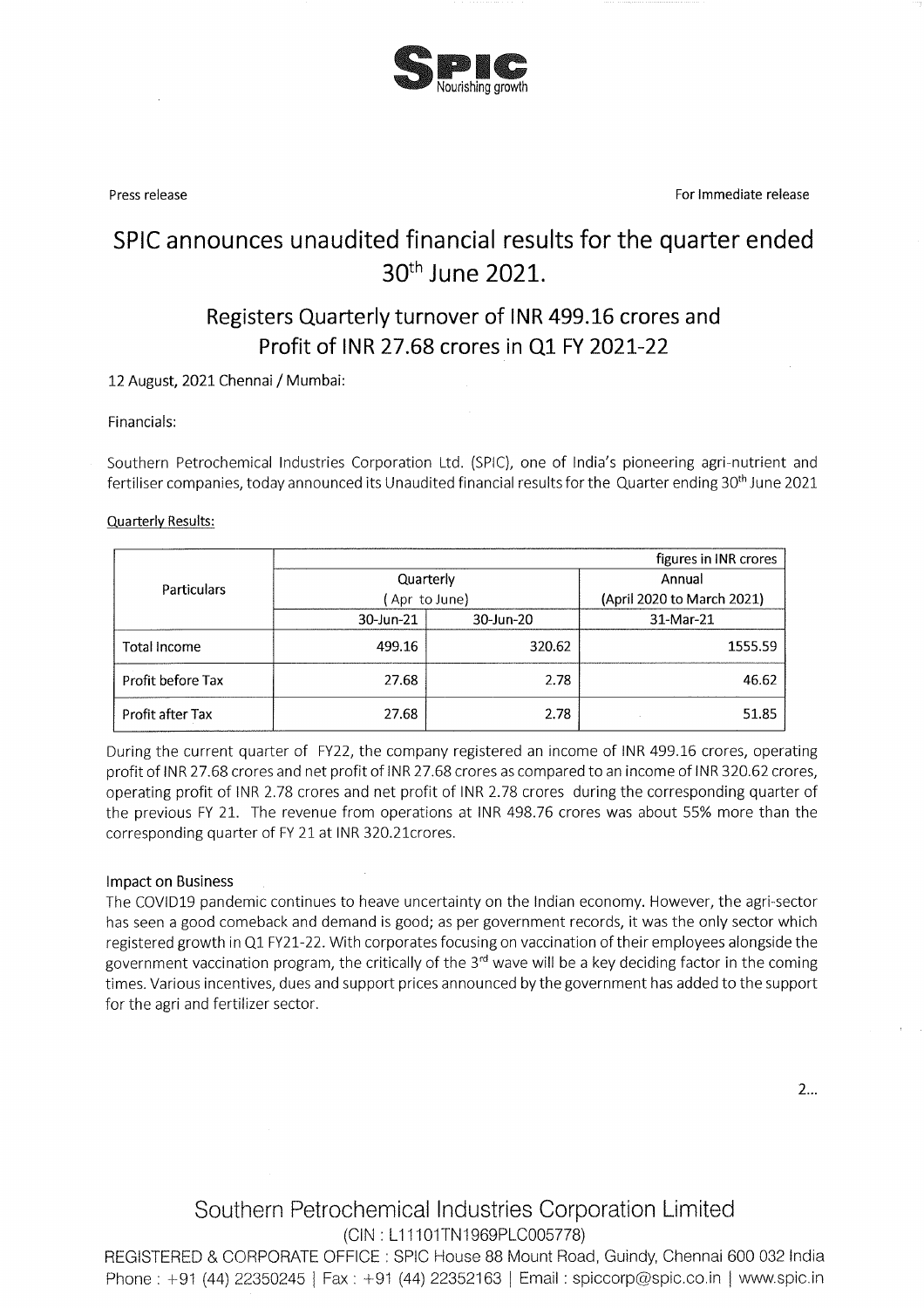

Press release

For Immediate release

# SPIC announces unaudited financial results for the quarter ended 30<sup>th</sup> June 2021.

# Registers Quarterly turnover of INR 499.16 crores and Profit of INR 27.68 crores in Q1 FY 2021-22

#### 12 August, 2021 Chennai / Mumbai:

#### Financials:

Southern Petrochemical Industries Corporation Ltd. (SPIC), one of India's pioneering agri-nutrient and fertiliser companies, today announced its Unaudited financial results for the Quarter ending 30<sup>th</sup> June 2021

#### **Quarterly Results:**

|                     |              |           | figures in INR crores      |  |
|---------------------|--------------|-----------|----------------------------|--|
| Particulars         | Quarterly    |           | Annual                     |  |
|                     | Apr to June) |           | (April 2020 to March 2021) |  |
|                     | 30-Jun-21    | 30-Jun-20 | 31-Mar-21                  |  |
| <b>Total Income</b> | 499.16       | 320.62    | 1555.59                    |  |
| Profit before Tax   | 27.68        | 2.78      | 46.62                      |  |
| Profit after Tax    | 27.68        | 2.78      | 51.85                      |  |

During the current quarter of FY22, the company registered an income of INR 499.16 crores, operating profit of INR 27.68 crores and net profit of INR 27.68 crores as compared to an income of INR 320.62 crores, operating profit of INR 2.78 crores and net profit of INR 2.78 crores during the corresponding quarter of the previous FY 21. The revenue from operations at INR 498.76 crores was about 55% more than the corresponding quarter of FY 21 at INR 320.21 crores.

#### **Impact on Business**

The COVID19 pandemic continues to heave uncertainty on the Indian economy. However, the agri-sector has seen a good comeback and demand is good; as per government records, it was the only sector which registered growth in Q1 FY21-22. With corporates focusing on vaccination of their employees alongside the government vaccination program, the critically of the 3<sup>rd</sup> wave will be a key deciding factor in the coming times. Various incentives, dues and support prices announced by the government has added to the support for the agri and fertilizer sector.

 $2...$ 

Southern Petrochemical Industries Corporation Limited (CIN: L11101TN1969PLC005778)

REGISTERED & CORPORATE OFFICE : SPIC House 88 Mount Road, Guindy, Chennai 600 032 India Phone: +91 (44) 22350245 | Fax: +91 (44) 22352163 | Email: spiccorp@spic.co.in | www.spic.in